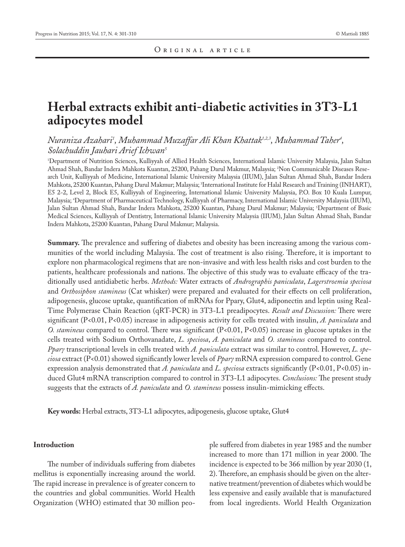# **Herbal extracts exhibit anti-diabetic activities in 3T3-L1 adipocytes model**

## *Nuraniza Azahari1 , Muhammad Muzaffar Ali Khan Khattak1,2,3, Muhammad Taher4 , Solachuddin Jauhari Arief Ichwan5*

1 Department of Nutrition Sciences, Kulliyyah of Allied Health Sciences, International Islamic University Malaysia, Jalan Sultan Ahmad Shah, Bandar Indera Mahkota Kuantan, 25200, Pahang Darul Makmur, Malaysia; 2 Non Communicable Diseases Research Unit, Kulliyyah of Medicine, International Islamic University Malaysia (IIUM), Jalan Sultan Ahmad Shah, Bandar Indera Mahkota, 25200 Kuantan, Pahang Darul Makmur; Malaysia; 3 International Institute for Halal Research and Training (INHART), E5 2-2, Level 2, Block E5, Kulliyyah of Engineering, International Islamic University Malaysia, P.O. Box 10 Kuala Lumpur, Malaysia; 4 Department of Pharmaceutical Technology, Kulliyyah of Pharmacy, International Islamic University Malaysia (IIUM), Jalan Sultan Ahmad Shah, Bandar Indera Mahkota, 25200 Kuantan, Pahang Darul Makmur; Malaysia; 5 Department of Basic Medical Sciences, Kulliyyah of Dentistry, International Islamic University Malaysia (IIUM), Jalan Sultan Ahmad Shah, Bandar Indera Mahkota, 25200 Kuantan, Pahang Darul Makmur; Malaysia.

**Summary.** The prevalence and suffering of diabetes and obesity has been increasing among the various communities of the world including Malaysia. The cost of treatment is also rising. Therefore, it is important to explore non pharmacological regimens that are non-invasive and with less health risks and cost burden to the patients, healthcare professionals and nations. The objective of this study was to evaluate efficacy of the traditionally used antidiabetic herbs. *Methods:* Water extracts of *Andrographis paniculata*, *Lagerstroemia speciosa* and *Orthosiphon stamineus* (Cat whisker) were prepared and evaluated for their effects on cell proliferation, adipogenesis, glucose uptake, quantification of mRNAs for Ppary, Glut4, adiponectin and leptin using Real-Time Polymerase Chain Reaction (qRT-PCR) in 3T3-L1 preadipocytes. *Result and Discussion:* There were significant (P<0.01, P<0.05) increase in adipogenesis activity for cells treated with insulin, *A. paniculata* and *O. stamineus* compared to control. There was significant (P<0.01, P<0.05) increase in glucose uptakes in the cells treated with Sodium Orthovanadate, *L. speciosa*, *A. paniculata* and *O. stamineus* compared to control. *Pparγ* transcriptional levels in cells treated with *A. paniculata* extract was similar to control. However, *L. speciosa* extract (P<0.01) showed significantly lower levels of *Pparγ* mRNA expression compared to control. Gene expression analysis demonstrated that *A. paniculata* and *L. speciosa* extracts significantly (P<0.01, P<0.05) induced Glut4 mRNA transcription compared to control in 3T3-L1 adipocytes. *Conclusions:* The present study suggests that the extracts of *A. paniculata* and *O. stamineus* possess insulin-mimicking effects.

**Key words:** Herbal extracts, 3T3-L1 adipocytes, adipogenesis, glucose uptake, Glut4

#### **Introduction**

The number of individuals suffering from diabetes mellitus is exponentially increasing around the world. The rapid increase in prevalence is of greater concern to the countries and global communities. World Health Organization (WHO) estimated that 30 million people suffered from diabetes in year 1985 and the number increased to more than 171 million in year 2000. The incidence is expected to be 366 million by year 2030 (1, 2). Therefore, an emphasis should be given on the alternative treatment/prevention of diabetes which would be less expensive and easily available that is manufactured from local ingredients. World Health Organization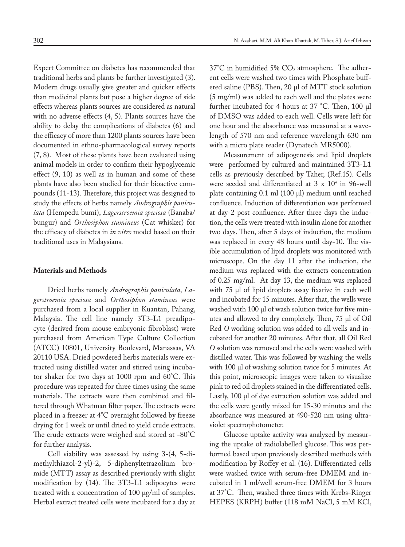Expert Committee on diabetes has recommended that traditional herbs and plants be further investigated (3). Modern drugs usually give greater and quicker effects than medicinal plants but pose a higher degree of side effects whereas plants sources are considered as natural with no adverse effects (4, 5). Plants sources have the ability to delay the complications of diabetes (6) and the efficacy of more than 1200 plants sources have been documented in ethno-pharmacological survey reports (7, 8). Most of these plants have been evaluated using animal models in order to confirm their hypoglycemic effect (9, 10) as well as in human and some of these plants have also been studied for their bioactive compounds (11-13). Therefore, this project was designed to study the effects of herbs namely *Andrographis paniculata* (Hempedu bumi), *Lagerstroemia speciosa* (Banaba/ bungur) and *Orthosiphon stamineus* (Cat whisker) for the efficacy of diabetes in *in vitro* model based on their traditional uses in Malaysians.

#### **Materials and Methods**

Dried herbs namely *Andrographis paniculata*, *Lagerstroemia speciosa* and *Orthosiphon stamineus* were purchased from a local supplier in Kuantan, Pahang, Malaysia. The cell line namely 3T3-L1 preadipocyte (derived from mouse embryonic fibroblast) were purchased from American Type Culture Collection (ATCC) 10801, University Boulevard, Manassas, VA 20110 USA. Dried powdered herbs materials were extracted using distilled water and stirred using incubator shaker for two days at 1000 rpm and 60°C. This procedure was repeated for three times using the same materials. The extracts were then combined and filtered through Whatman filter paper. The extracts were placed in a freezer at 4°C overnight followed by freeze drying for 1 week or until dried to yield crude extracts. The crude extracts were weighed and stored at -80°C for further analysis.

Cell viability was assessed by using 3-(4, 5-dimethylthiazol-2-yl)-2, 5-diphenyltetrazolium bromide (MTT) assay as described previously with slight modification by (14). The 3T3-L1 adipocytes were treated with a concentration of 100 μg/ml of samples. Herbal extract treated cells were incubated for a day at  $37^{\circ}$ C in humidified 5% CO<sub>2</sub> atmosphere. The adherent cells were washed two times with Phosphate buffered saline (PBS). Then, 20 μl of MTT stock solution (5 mg/ml) was added to each well and the plates were further incubated for 4 hours at 37 °C. Then, 100 μl of DMSO was added to each well. Cells were left for one hour and the absorbance was measured at a wavelength of 570 nm and reference wavelength 630 nm with a micro plate reader (Dynatech MR5000).

Measurement of adipogenesis and lipid droplets were performed by cultured and maintained 3T3-L1 cells as previously described by Taher, (Ref.15). Cells were seeded and differentiated at 3 x 10<sup>4</sup> in 96-well plate containing 0.1 ml (100 µl) medium until reached confluence. Induction of differentiation was performed at day-2 post confluence. After three days the induction, the cells were treated with insulin alone for another two days. Then, after 5 days of induction, the medium was replaced in every 48 hours until day-10. The visible accumulation of lipid droplets was monitored with microscope. On the day 11 after the induction, the medium was replaced with the extracts concentration of 0.25 mg/ml. At day 13, the medium was replaced with 75 µl of lipid droplets assay fixative in each well and incubated for 15 minutes. After that, the wells were washed with 100 µl of wash solution twice for five minutes and allowed to dry completely. Then, 75 µl of Oil Red *O* working solution was added to all wells and incubated for another 20 minutes. After that, all Oil Red *O* solution was removed and the cells were washed with distilled water. This was followed by washing the wells with 100 µl of washing solution twice for 5 minutes. At this point, microscopic images were taken to visualize pink to red oil droplets stained in the differentiated cells. Lastly, 100 µl of dye extraction solution was added and the cells were gently mixed for 15-30 minutes and the absorbance was measured at 490-520 nm using ultraviolet spectrophotometer.

Glucose uptake activity was analyzed by measuring the uptake of radiolabelled glucose. This was performed based upon previously described methods with modification by Roffey et al. (16). Differentiated cells were washed twice with serum-free DMEM and incubated in 1 ml/well serum-free DMEM for 3 hours at 37°C. Then, washed three times with Krebs-Ringer HEPES (KRPH) buffer (118 mM NaCl, 5 mM KCl,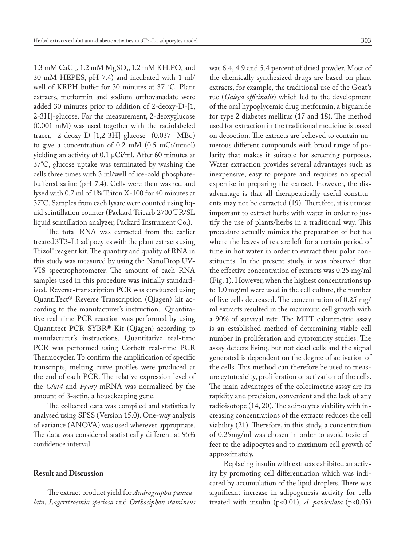$1.3 \text{ mM CaCl}_2$ ,  $1.2 \text{ mM MgSO}_4$ ,  $1.2 \text{ mM KH}_2$ PO<sub>4</sub> and 30 mM HEPES, pH 7.4) and incubated with 1 ml/ well of KRPH buffer for 30 minutes at 37 °C. Plant extracts, metformin and sodium orthovanadate were added 30 minutes prior to addition of 2-deoxy-D-[1, 2-3H]-glucose. For the measurement, 2-deoxyglucose (0.001 mM) was used together with the radiolabeled tracer, 2-deoxy-D-[1,2-3H]-glucose (0.037 MBq) to give a concentration of 0.2 mM (0.5 mCi/mmol) yielding an activity of 0.1 μCi/ml. After 60 minutes at 37°C, glucose uptake was terminated by washing the cells three times with 3 ml/well of ice-cold phosphatebuffered saline (pH 7.4). Cells were then washed and lysed with 0.7 ml of 1% Triton X-100 for 40 minutes at 37°C. Samples from each lysate were counted using liquid scintillation counter (Packard Tricarb 2700 TR/SL liquid scintillation analyzer, Packard Instrument Co.).

The total RNA was extracted from the earlier treated 3T3-L1 adipocytes with the plant extracts using Trizol® reagent kit. The quantity and quality of RNA in this study was measured by using the NanoDrop UV-VIS spectrophotometer. The amount of each RNA samples used in this procedure was initially standardized. Reverse-transcription PCR was conducted using QuantiTect® Reverse Transcription (Qiagen) kit according to the manufacturer's instruction. Quantitative real-time PCR reaction was performed by using Quantitect PCR SYBR® Kit (Qiagen) according to manufacturer's instructions. Quantitative real-time PCR was performed using Corbett real-time PCR Thermocycler. To confirm the amplification of specific transcripts, melting curve profiles were produced at the end of each PCR. The relative expression level of the *Glut4* and *Pparγ* mRNA was normalized by the amount of  $β$ -actin, a housekeeping gene.

The collected data was compiled and statistically analysed using SPSS (Version 15.0). One-way analysis of variance (ANOVA) was used wherever appropriate. The data was considered statistically different at 95% confidence interval.

#### **Result and Discussion**

The extract product yield for *Andrographis paniculata*, *Lagerstroemia speciosa* and *Orthosiphon stamineus* was 6.4, 4.9 and 5.4 percent of dried powder. Most of the chemically synthesized drugs are based on plant extracts, for example, the traditional use of the Goat's rue (*Galega officinalis*) which led to the development of the oral hypoglycemic drug metformin, a biguanide for type 2 diabetes mellitus (17 and 18). The method used for extraction in the traditional medicine is based on decoction. The extracts are believed to contain numerous different compounds with broad range of polarity that makes it suitable for screening purposes. Water extraction provides several advantages such as inexpensive, easy to prepare and requires no special expertise in preparing the extract. However, the disadvantage is that all therapeutically useful constituents may not be extracted (19). Therefore, it is utmost important to extract herbs with water in order to justify the use of plants/herbs in a traditional way. This procedure actually mimics the preparation of hot tea where the leaves of tea are left for a certain period of time in hot water in order to extract their polar constituents. In the present study, it was observed that the effective concentration of extracts was 0.25 mg/ml (Fig. 1). However, when the highest concentrations up to 1.0 mg/ml were used in the cell culture, the number of live cells decreased. The concentration of 0.25 mg/ ml extracts resulted in the maximum cell growth with a 90% of survival rate. The MTT calorimetric assay is an established method of determining viable cell number in proliferation and cytotoxicity studies. The assay detects living, but not dead cells and the signal generated is dependent on the degree of activation of the cells. This method can therefore be used to measure cytotoxicity, proliferation or activation of the cells. The main advantages of the colorimetric assay are its rapidity and precision, convenient and the lack of any radioisotope (14, 20). The adipocytes viability with increasing concentrations of the extracts reduces the cell viability (21). Therefore, in this study, a concentration of 0.25mg/ml was chosen in order to avoid toxic effect to the adipocytes and to maximum cell growth of approximately.

Replacing insulin with extracts exhibited an activity by promoting cell differentiation which was indicated by accumulation of the lipid droplets. There was significant increase in adipogenesis activity for cells treated with insulin (p<0.01), *A. paniculata* (p<0.05)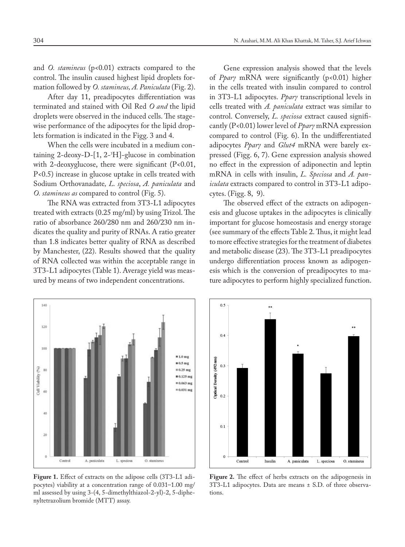and *O. stamineus* (p<0.01) extracts compared to the control. The insulin caused highest lipid droplets formation followed by *O. stamineus, A. Paniculata* (Fig. 2).

After day 11, preadipocytes differentiation was terminated and stained with Oil Red *O and* the lipid droplets were observed in the induced cells. The stagewise performance of the adipocytes for the lipid droplets formation is indicated in the Figg. 3 and 4.

When the cells were incubated in a medium containing 2-deoxy-D-[1, 2-3 H]-glucose in combination with 2-deoxyglucose, there were significant (P<0.01, P<0.5) increase in glucose uptake in cells treated with Sodium Orthovanadate*, L. speciosa*, *A. paniculata* and *O. stamineus as* compared to control (Fig. 5).

The RNA was extracted from 3T3-L1 adipocytes treated with extracts (0.25 mg/ml) by using Trizol. The ratio of absorbance 260/280 nm and 260/230 nm indicates the quality and purity of RNAs. A ratio greater than 1.8 indicates better quality of RNA as described by Manchester, (22). Results showed that the quality of RNA collected was within the acceptable range in 3T3-L1 adipocytes (Table 1). Average yield was measured by means of two independent concentrations.

Gene expression analysis showed that the levels of *Pparγ* mRNA were significantly (p<0.01) higher in the cells treated with insulin compared to control in 3T3-L1 adipocytes. *Pparγ* transcriptional levels in cells treated with *A. paniculata* extract was similar to control. Conversely, *L. speciosa* extract caused significantly (P<0.01) lower level of *Pparγ* mRNA expression compared to control (Fig. 6). In the undifferentiated adipocytes *Pparγ* and *Glut4* mRNA were barely expressed (Figg. 6, 7). Gene expression analysis showed no effect in the expression of adiponectin and leptin mRNA in cells with insulin, *L. Speciosa* and *A. paniculata* extracts compared to control in 3T3-L1 adipocytes. (Figg. 8, 9).

The observed effect of the extracts on adipogenesis and glucose uptakes in the adipocytes is clinically important for glucose homeostasis and energy storage (see summary of the effects Table 2. Thus, it might lead to more effective strategies for the treatment of diabetes and metabolic disease (23). The 3T3-L1 preadipocytes undergo differentiation process known as adipogenesis which is the conversion of preadipocytes to mature adipocytes to perform highly specialized function.



**Figure 1.** Effect of extracts on the adipose cells (3T3-L1 adipocytes) viability at a concentration range of 0.031–1.00 mg/ ml assessed by using 3-(4, 5-dimethylthiazol-2-yl)-2, 5-diphenyltetrazolium bromide (MTT) assay.



**Figure 2.** The effect of herbs extracts on the adipogenesis in 3T3-L1 adipocytes. Data are means ± S.D. of three observations.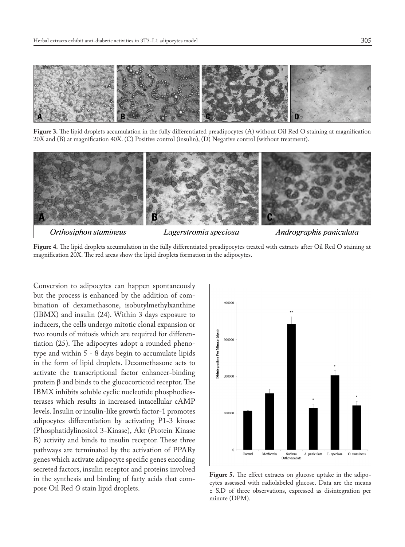

**Figure 3.** The lipid droplets accumulation in the fully differentiated preadipocytes (A) without Oil Red O staining at magnification 20X and (B) at magnification 40X. (C) Positive control (insulin), (D) Negative control (without treatment).



**Figure 4.** The lipid droplets accumulation in the fully differentiated preadipocytes treated with extracts after Oil Red O staining at magnification 20X. The red areas show the lipid droplets formation in the adipocytes.

Conversion to adipocytes can happen spontaneously but the process is enhanced by the addition of combination of dexamethasone, isobutylmethylxanthine (IBMX) and insulin (24). Within 3 days exposure to inducers, the cells undergo mitotic clonal expansion or two rounds of mitosis which are required for differentiation (25). The adipocytes adopt a rounded phenotype and within 5 - 8 days begin to accumulate lipids in the form of lipid droplets. Dexamethasone acts to activate the transcriptional factor enhancer-binding protein β and binds to the glucocorticoid receptor. The IBMX inhibits soluble cyclic nucleotide phosphodiesterases which results in increased intacellular cAMP levels. Insulin or insulin-like growth factor-1 promotes adipocytes differentiation by activating P1-3 kinase (Phosphatidylinositol 3-Kinase), Akt (Protein Kinase B) activity and binds to insulin receptor. These three pathways are terminated by the activation of PPAR*γ* genes which activate adipocyte specific genes encoding secreted factors, insulin receptor and proteins involved in the synthesis and binding of fatty acids that compose Oil Red *O* stain lipid droplets.



**Figure 5.** The effect extracts on glucose uptake in the adipocytes assessed with radiolabeled glucose. Data are the means ± S.D of three observations, expressed as disintegration per minute (DPM).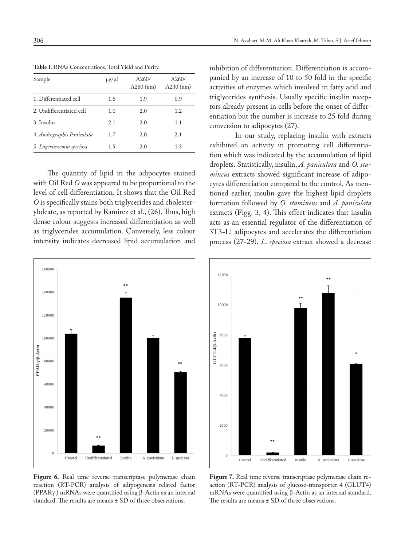| Sample                     | $\mu$ g/ $\mu$ l | A260/<br>$A280$ (nm) | A260/<br>$A230$ (nm) |
|----------------------------|------------------|----------------------|----------------------|
| 1. Differentiated cell     | 1.6              | 1.9                  | 0.9                  |
| 2. Undifferentiated cell   | 1.0              | 2.0                  | 1.2                  |
| 3. Insulin                 | 2.1              | 2.0                  | 1.1                  |
| 4. Andrographis Paniculata | 1.7              | 2.0                  | 2.1                  |
| 5. Lagerstroemia speciosa  | 1.5              | 2.0                  | 1.3                  |

**Table 1**. RNAs Concentrations, Total Yield and Purity.

The quantity of lipid in the adipocytes stained with Oil Red *O* was appeared to be proportional to the level of cell differentiation. It shows that the Oil Red *O* is specifically stains both triglycerides and cholesteryloleate, as reported by Ramirez et al., (26). Thus, high dense colour suggests increased differentiation as well as triglycerides accumulation. Conversely, less colour intensity indicates decreased lipid accumulation and



Figure 6. Real time reverse transcriptase polymerase chain reaction (RT-PCR) analysis of adipogenesis related factor (PPARγ ) mRNAs were quantified using β-Actin as an internal standard. The results are means ± SD of three observations.

inhibition of differentiation. Differentiation is accompanied by an increase of 10 to 50 fold in the specific activities of enzymes which involved in fatty acid and triglycerides synthesis. Usually specific insulin receptors already present in cells before the onset of differentiation but the number is increase to 25 fold during conversion to adipocytes (27).

 In our study, replacing insulin with extracts exhibited an activity in promoting cell differentiation which was indicated by the accumulation of lipid droplets. Statistically, insulin, *A. paniculata* and *O. stamineus* extracts showed significant increase of adipocytes differentiation compared to the control. As mentioned earlier, insulin gave the highest lipid droplets formation followed by *O. stamineus* and *A. paniculata*  extracts (Figg. 3, 4). This effect indicates that insulin acts as an essential regulator of the differentiation of 3T3-Ll adipocytes and accelerates the differentiation process (27-29). *L. speciosa* extract showed a decrease



**Figure 7.** Real time reverse transcriptase polymerase chain reaction (RT-PCR) analysis of glucose-transporter 4 (GLUT4) mRNAs were quantified using β-Actin as an internal standard. The results are means  $\pm$  SD of three observations.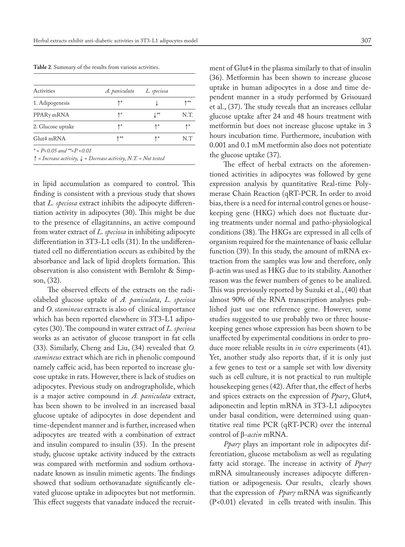**Table 2**. Summary of the results from various activities.

| Activities             | A. paniculata | L. speciosa |      |
|------------------------|---------------|-------------|------|
| 1. Adipogenesis        | ለ∗            |             | ∧**  |
| PPAR <sub>y</sub> mRNA | ለ∗            | ⊥∗∝         | N.T. |
| 2. Glucose uptake      | ↑∗            | ∧∗          | ↑*   |
| Glut4 mRNA             | ∧**           | ∧∗          | N.T  |

↑ *= Increase activity,* ↓ *= Decrease activity, N.T. = Not tested*

in lipid accumulation as compared to control. This finding is consistent with a previous study that shows that *L. speciosa* extract inhibits the adipocyte differentiation activity in adipocytes (30). This might be due to the presence of ellagitannins, an active compound from water extract of *L. speciosa* in inhibiting adipocyte differentiation in 3T3-L1 cells (31). In the undifferentiated cell no differentiation occurs as exhibited by the absorbance and lack of lipid droplets formation. This observation is also consistent with Bernlohr & Simpson, (32).

The observed effects of the extracts on the radiolabeled glucose uptake of *A. paniculata*, *L. speciosa* and *O. stamineus* extracts is also of clinical importance which has been reported elsewhere in 3T3-L1 adipocytes (30). The compound in water extract of *L. speciosa* works as an activator of glucose transport in fat cells (33). Similarly, Cheng and Liu, (34) revealed that *O. stamineus* extract which are rich in phenolic compound namely caffeic acid, has been reported to increase glucose uptake in rats. However, there is lack of studies on adipocytes. Previous study on andrographolide, which is a major active compound in *A. paniculata* extract, has been shown to be involved in an increased basal glucose uptake of adipocytes in dose dependent and time-dependent manner and is further, increased when adipocytes are treated with a combination of extract and insulin compared to insulin (35). In the present study, glucose uptake activity induced by the extracts was compared with metformin and sodium orthovanadate known as insulin mimetic agents. The findings showed that sodium orthovanadate significantly elevated glucose uptake in adipocytes but not metformin. This effect suggests that vanadate induced the recruitment of Glut4 in the plasma similarly to that of insulin (36). Metformin has been shown to increase glucose uptake in human adipocytes in a dose and time dependent manner in a study performed by Grisouard et al., (37). The study reveals that an increases cellular glucose uptake after 24 and 48 hours treatment with metformin but does not increase glucose uptake in 3 hours incubation time. Furthermore, incubation with 0.001 and 0.1 mM metformin also does not potentiate the glucose uptake (37).

The effect of herbal extracts on the aforementioned activities in adipocytes was followed by gene expression analysis by quantitative Real-time Polymerase Chain Reaction (qRT-PCR. In order to avoid bias, there is a need for internal control genes or housekeeping gene (HKG) which does not fluctuate during treatments under normal and patho-physiological conditions (38). The HKGs are expressed in all cells of organism required for the maintenance of basic cellular function (39). In this study, the amount of mRNA extraction from the samples was low and therefore, only β-actin was used as HKG due to its stability. Aanother reason was the fewer numbers of genes to be analized. This was previously reported by Suzuki et al., (40) that almost 90% of the RNA transcription analyses published just use one reference gene. However, some studies suggested to use probably two or three housekeeping genes whose expression has been shown to be unaffected by experimental conditions in order to produce more reliable results in *in vitro* experiments (41). Yet, another study also reports that, if it is only just a few genes to test or a sample set with low diversity such as cell culture, it is not practical to run multiple housekeeping genes (42). After that, the effect of herbs and spices extracts on the expression of *Pparγ*, Glut4, adiponectin and leptin mRNA in 3T3-L1 adipocytes under basal condition, were determined using quantitative real time PCR (qRT-PCR) over the internal control of β*-actin* mRNA.

*Pparγ* plays an important role in adipocytes differentiation, glucose metabolism as well as regulating fatty acid storage. The increase in activity of *Pparγ* mRNA simultaneously increases adipocyte differentiation or adipogenesis. Our results, clearly shows that the expression of *Pparγ* mRNA was significantly (P<0.01) elevated in cells treated with insulin. This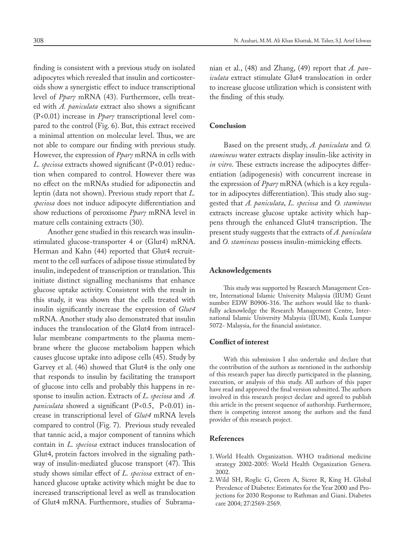finding is consistent with a previous study on isolated adipocytes which revealed that insulin and corticosteroids show a synergistic effect to induce transcriptional level of *Pparγ* mRNA (43). Furthermore, cells treated with *A. paniculata* extract also shows a significant (P<0.01) increase in *Pparγ* transcriptional level compared to the control (Fig. 6). But, this extract received a minimal attention on molecular level. Thus, we are not able to compare our finding with previous study. However, the expression of *Pparγ* mRNA in cells with *L. speciosa* extracts showed significant (P<0.01) reduction when compared to control. However there was no effect on the mRNAs studied for adiponectin and leptin (data not shown). Previous study report that *L. speciosa* does not induce adipocyte differentiation and show reductions of peroxisome *Pparγ* mRNA level in mature cells containing extracts (30).

Another gene studied in this research was insulinstimulated glucose-transporter 4 or (Glut4) mRNA. Herman and Kahn (44) reported that Glut4 recruitment to the cell surfaces of adipose tissue stimulated by insulin, indepedent of transcription or translation. This initiate distinct signalling mechanisms that enhance glucose uptake activity. Consistent with the result in this study, it was shown that the cells treated with insulin significantly increase the expression of *Glut4* mRNA. Another study also demonstrated that insulin induces the translocation of the Glut4 from intracellular membrane compartments to the plasma membrane where the glucose metabolism happen which causes glucose uptake into adipose cells (45). Study by Garvey et al. (46) showed that Glut4 is the only one that responds to insulin by facilitating the transport of glucose into cells and probably this happens in response to insulin action. Extracts of *L. speciosa* and *A. paniculata* showed a significant (P<0.5, P<0.01) increase in transcriptional level of *Glut4* mRNA levels compared to control (Fig. 7). Previous study revealed that tannic acid, a major component of tannins which contain in *L. speciosa* extract induces translocation of Glut4, protein factors involved in the signaling pathway of insulin-mediated glucose transport (47). This study shows similar effect of *L. speciosa* extract of enhanced glucose uptake activity which might be due to increased transcriptional level as well as translocation of Glut4 mRNA. Furthermore, studies of Subramanian et al., (48) and Zhang, (49) report that *A. paniculata* extract stimulate Glut4 translocation in order to increase glucose utilization which is consistent with the finding of this study.

## **Conclusion**

Based on the present study, *A. paniculata* and *O. stamineus* water extracts display insulin-like activity in *in vitro*. These extracts increase the adipocytes differentiation (adipogenesis) with concurrent increase in the expression of *Pparγ* mRNA (which is a key regulator in adipocytes differentiation). This study also suggested that *A. paniculata*, *L. speciosa* and *O. stamineus*  extracts increase glucose uptake activity which happens through the enhanced Glut4 transcription. The present study suggests that the extracts of *A. paniculata* and *O. stamineus* possess insulin-mimicking effects*.* 

#### **Acknowledgements**

This study was supported by Research Management Centre, International Islamic University Malaysia (IIUM) Grant number EDW B0906-316. The authors would like to thankfully acknowledge the Research Management Centre, International Islamic University Malaysia (IIUM), Kuala Lumpur 5072- Malaysia, for the financial assistance.

#### **Conflict of interest**

With this submission I also undertake and declare that the contribution of the authors as mentioned in the authorship of this research paper has directly participated in the planning, execution, or analysis of this study. All authors of this paper have read and approved the final version submitted. The authors involved in this research project declare and agreed to publish this article in the present sequence of authorship. Furthermore, there is competing interest among the authors and the fund provider of this research project.

### **References**

- 1. World Health Organization. WHO traditional medicine strategy 2002-2005: World Health Organization Geneva. 2002.
- 2. Wild SH, Roglic G, Green A, Sicree R, King H. Global Prevalence of Diabetes: Estimates for the Year 2000 and Projections for 2030 Response to Rathman and Giani. Diabetes care 2004; 27:2569-2569.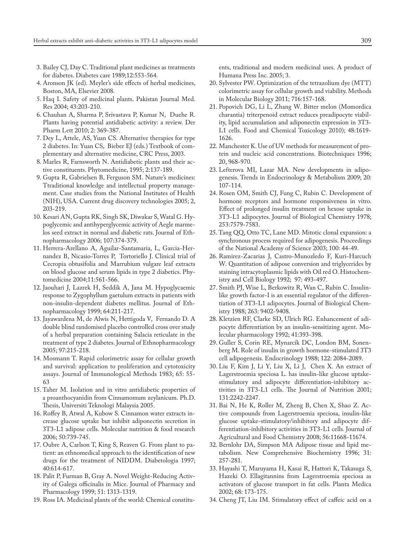- 3. Bailey CJ, Day C. Traditional plant medicines as treatments for diabetes. Diabetes care 1989;12:553-564.
- 4. Aronson JK (ed). Meyler's side effects of herbal medicines, Boston, MA, Elsevier 2008.
- 5. Haq I. Safety of medicinal plants. Pakistan Journal Med. Res 2004; 43:203-210.
- 6. Chauhan A, Sharma P, Srivastava P, Kumar N, Duehe R. Plants having potential antidiabetic activity: a review. Der Pharm Lett 2010; 2: 369-387.
- 7. Dey L, Attele, AS, Yuan CS. Alternative therapies for type 2 diabetes. In: Yuan CS, Bieber EJ (eds.) Textbook of complementary and alternative medicine, CRC Press, 2003.
- 8. Marles R, Farnsworth N. Antidiabetic plants and their active constituents. Phytomedicine, 1995; 2:137-189.
- 9. Gupta R, Gabrielsen B, Ferguson SM. Nature's medicines: Ttraditional knowledge and intellectual property management. Case studies from the National Institutes of Health (NIH), USA. Current drug discovery technologies 2005; 2, 203-219.
- 10. Kesari AN, Gupta RK, Singh SK, Diwakar S, Watal G. Hypoglycemic and antihyperglycemic activity of Aegle marmelos seed extract in normal and diabetic rats. Journal of Ethnopharmacology 2006; 107:374-379.
- 11. Herrera-Arellano A, Aguilar-Santamaria, L, Garcia-Hernandez B, Nicasio-Torres P, Tortoriello J. Clinical trial of Cecropia obtusifolia and Marrubium vulgare leaf extracts on blood glucose and serum lipids in type 2 diabetics. Phytomedicine 2004;11:561-566.
- 12. Jaouhari J, Lazrek H, Seddik A, Jana M. Hypoglycaemic response to Zygophyllum gaetulum extracts in patients with non-insulin-dependent diabetes mellitus. Journal of Ethnopharmacology 1999; 64:211-217.
- 13. Jayawardena M, de Alwis N, Hettigoda V, Fernando D. A double blind randomised placebo controlled cross over study of a herbal preparation containing Salacia reticulate in the treatment of type 2 diabetes. Journal of Ethnopharmacology 2005; 97:215-218.
- 14. Mosmann T. Rapid colorimetric assay for cellular growth and survival: application to proliferation and cytotoxicity assays. Journal of Immunological Methods 1983; 65: 55- 63
- 15. Taher M. Isolation and in vitro antidiabetic properties of a proanthocyanidin from Cinnamomum zeylanicum. Ph.D. Thesis, Universiti Teknologi Malaysia 2005.
- 16. Roffey B, Atwal A, Kubow S. Cinnamon water extracts increase glucose uptake but inhibit adiponectin secretion in 3T3-L1 adipose cells. Molecular nutrition & food research 2006; 50:739-745.
- 17. Oubre A, Carlson T, King S, Reaven G. From plant to patient: an ethnomedical approach to the identification of new drugs for the treatment of NIDDM. Diabetologia 1997; 40:614-617.
- 18. Palit P, Furman B, Gray A. Novel Weight-Reducing Activity of Galega officinalis in Mice. Journal of Pharmacy and Pharmacology 1999; 51: 1313-1319.
- 19. Ross IA. Medicinal plants of the world: Chemical constitu-

ents, traditional and modern medicinal uses. A product of Humana Press Inc. 2005; 3.

- 20. Sylvester PW. Optimization of the tetrazolium dye (MTT) colorimetric assay for cellular growth and viability. Methods in Molecular Biology 2011; 716:157-168.
- 21. Popovich DG, Li L, Zhang W. Bitter melon (Momordica charantia) triterpenoid extract reduces preadipocyte viability, lipid accumulation and adiponectin expression in 3T3- L1 cells. Food and Chemical Toxicology 2010); 48:1619- 1626.
- 22. Manchester K. Use of UV methods for measurement of protein and nucleic acid concentrations. Biotechniques 1996; 20, 968-970.
- 23. Lefterova MI, Lazar MA. New developments in adipogenesis. Trends in Endocrinology & Metabolism 2009; 20: 107-114.
- 24. Rosen OM, Smith CJ, Fung C, Rubin C. Development of hormone receptors and hormone responsiveness in vitro. Effect of prolonged insulin treatment on hexose uptake in 3T3-L1 adipocytes. Journal of Biological Chemistry 1978; 253:7579-7583.
- 25. Tang QQ, Otto TC, Lane MD. Mitotic clonal expansion: a synchronous process required for adipogenesis. Proceedings of the National Academy of Science 2003; 100: 44-49.
- 26. Ramirez-Zacarias J, Castro-Munozledo F, Kuri-Harcuch W. Quantitation of adipose conversion and triglycerides by staining intracytoplasmic lipids with Oil red O. Histochemistry and Cell Biology 1992; 97: 493-497.
- 27. Smith PJ, Wise L, Berkowitz R, Wan C, Rubin C. Insulinlike growth factor-I is an essential regulator of the differentiation of 3T3-L1 adipocytes. Journal of Biological Chemistry 1988; 263: 9402-9408.
- 28. Kletzien RF, Clarke SD, Ulrich RG. Enhancement of adipocyte differentiation by an insulin-sensitizing agent. Molecular pharmacology 1992; 41:393-398.
- 29. Guller S, Corin RE, Mynarcik DC, London BM, Sonenberg M. Role of insulin in growth hormone-stimulated 3T3 cell adipogenesis. Endocrinology 1988; 122: 2084-2089.
- 30. Liu F, Kim J, Li Y, Liu X, Li J, Chen X. An extract of Lagerstroemia speciosa L. has insulin-like glucose uptakestimulatory and adipocyte differentiation-inhibitory activities in 3T3-L1 cells. The Journal of Nutrition 2001; 131:2242-2247.
- 31. Bai N, He K, Roller M, Zheng B, Chen X, Shao Z. Active compounds from Lagerstroemia speciosa, insulin-like glucose uptake-stimulatory/inhibitory and adipocyte differentiation-inhibitory activities in 3T3-L1 cells. Journal of Agricultural and Food Chemistry 2008; 56:11668-11674.
- 32. Bernlohr DA, Simpson MA Adipose tissue and lipid metabolism. New Comprehensive Biochemistry 1996; 31: 257-281.
- 33. Hayashi T, Maruyama H, Kasai R, Hattori K, Takasuga S, Hazeki O. Ellagitannins from Lagerstroemia speciosa as activators of glucose transport in fat cells. Planta Medica 2002; 68: 173-175.
- 34. Cheng JT, Liu IM. Stimulatory effect of caffeic acid on a